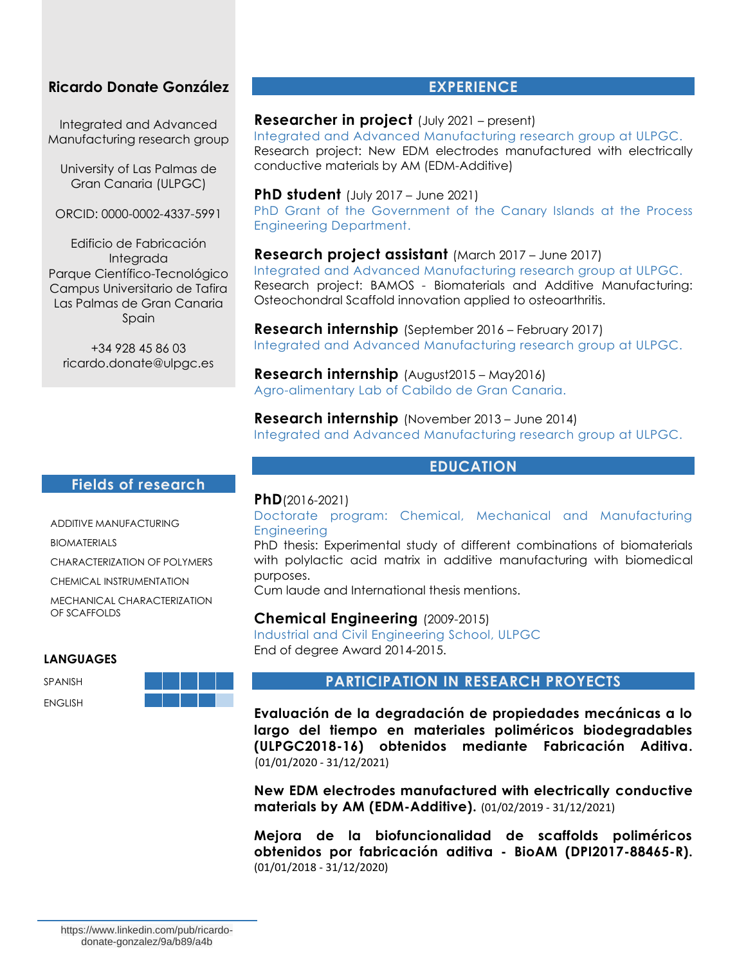## **Ricardo Donate González**

Integrated and Advanced Manufacturing research group

University of Las Palmas de Gran Canaria (ULPGC)

ORCID: 0000-0002-4337-5991

Edificio de Fabricación Integrada Parque Científico-Tecnológico Campus Universitario de Tafira Las Palmas de Gran Canaria Spain

+34 928 45 86 03 ricardo.donate@ulpgc.es

## **EXPERIENCE**

## **Researcher in project** (July 2021 – present)

Integrated and Advanced Manufacturing research group at ULPGC. Research project: New EDM electrodes manufactured with electrically conductive materials by AM (EDM-Additive)

#### **PhD student** (July 2017 – June 2021)

PhD Grant of the Government of the Canary Islands at the Process Engineering Department.

**Research project assistant** (March 2017 – June 2017) Integrated and Advanced Manufacturing research group at ULPGC. Research project: BAMOS *-* Biomaterials and Additive Manufacturing: Osteochondral Scaffold innovation applied to osteoarthritis.

**Research internship** (September 2016 – February 2017) Integrated and Advanced Manufacturing research group at ULPGC.

**Research internship** (August2015 – May2016) Agro-alimentary Lab of Cabildo de Gran Canaria.

**Research internship** (November 2013 – June 2014) Integrated and Advanced Manufacturing research group at ULPGC.

## **EDUCATION**

#### **Fields of research**

ADDITIVE MANUFACTURING

BIOMATERIALS

CHARACTERIZATION OF POLYMERS

CHEMICAL INSTRUMENTATION

MECHANICAL CHARACTERIZATION OF SCAFFOLDS

#### **LANGUAGES**

SPANISH

ENGLISH



# **PhD**(2016-2021)

Doctorate program: Chemical, Mechanical and Manufacturing **Engineering** 

PhD thesis: Experimental study of different combinations of biomaterials with polylactic acid matrix in additive manufacturing with biomedical purposes.

## **Chemical Engineering** (2009-2015)

Industrial and Civil Engineering School, ULPGC End of degree Award 2014-2015.

#### **PARTICIPATION IN RESEARCH PROYECTS**

**Evaluación de la degradación de propiedades mecánicas a lo largo del tiempo en materiales poliméricos biodegradables (ULPGC2018-16) obtenidos mediante Fabricación Aditiva.**  (01/01/2020 - 31/12/2021)

**New EDM electrodes manufactured with electrically conductive materials by AM (EDM-Additive).** (01/02/2019 - 31/12/2021)

**Mejora de la biofuncionalidad de scaffolds poliméricos obtenidos por fabricación aditiva - BioAM (DPI2017-88465-R).**  (01/01/2018 - 31/12/2020)

Cum laude and International thesis mentions.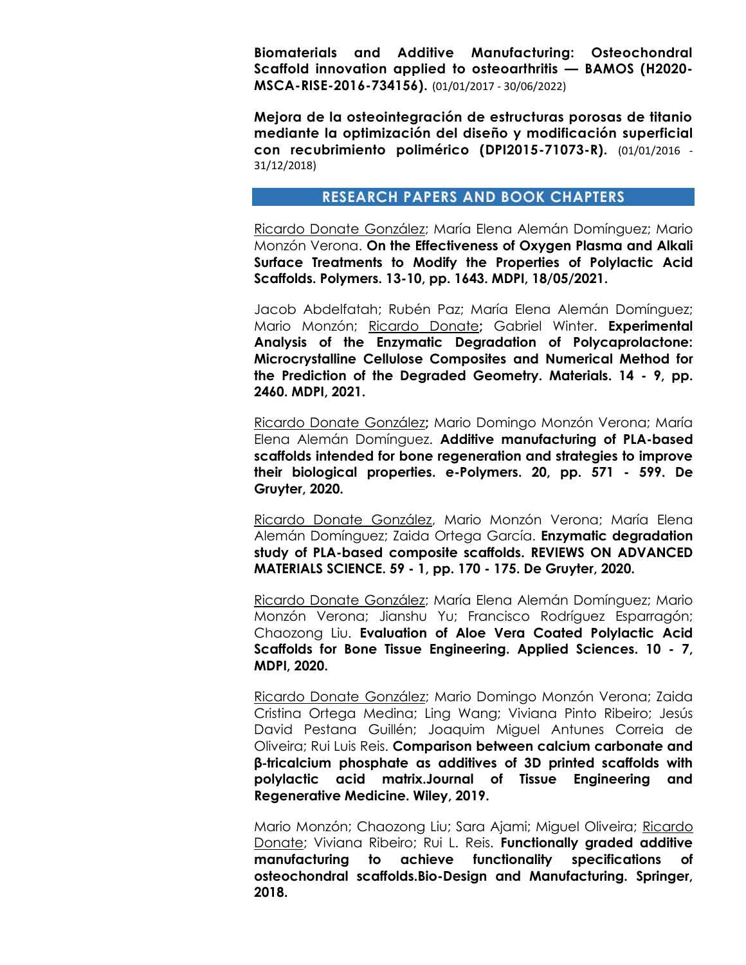**Biomaterials and Additive Manufacturing: Osteochondral Scaffold innovation applied to osteoarthritis — BAMOS (H2020- MSCA-RISE-2016-734156).** (01/01/2017 - 30/06/2022)

**Mejora de la osteointegración de estructuras porosas de titanio mediante la optimización del diseño y modificación superficial con recubrimiento polimérico (DPI2015-71073-R).** (01/01/2016 - 31/12/2018)

#### **RESEARCH PAPERS AND BOOK CHAPTERS**

Ricardo Donate González; María Elena Alemán Domínguez; Mario Monzón Verona. **On the Effectiveness of Oxygen Plasma and Alkali Surface Treatments to Modify the Properties of Polylactic Acid Scaffolds. Polymers. 13-10, pp. 1643. MDPI, 18/05/2021.**

Jacob Abdelfatah; Rubén Paz; María Elena Alemán Domínguez; Mario Monzón; Ricardo Donate**;** Gabriel Winter. **Experimental Analysis of the Enzymatic Degradation of Polycaprolactone: Microcrystalline Cellulose Composites and Numerical Method for the Prediction of the Degraded Geometry. Materials. 14 - 9, pp. 2460. MDPI, 2021.**

Ricardo Donate González**;** Mario Domingo Monzón Verona; María Elena Alemán Domínguez. **Additive manufacturing of PLA-based scaffolds intended for bone regeneration and strategies to improve their biological properties. e-Polymers. 20, pp. 571 - 599. De Gruyter, 2020.**

Ricardo Donate González, Mario Monzón Verona; María Elena Alemán Domínguez; Zaida Ortega García. **Enzymatic degradation study of PLA-based composite scaffolds. REVIEWS ON ADVANCED MATERIALS SCIENCE. 59 - 1, pp. 170 - 175. De Gruyter, 2020.**

Ricardo Donate González; María Elena Alemán Domínguez; Mario Monzón Verona; Jianshu Yu; Francisco Rodríguez Esparragón; Chaozong Liu. **Evaluation of Aloe Vera Coated Polylactic Acid Scaffolds for Bone Tissue Engineering. Applied Sciences. 10 - 7, MDPI, 2020.**

Ricardo Donate González; Mario Domingo Monzón Verona; Zaida Cristina Ortega Medina; Ling Wang; Viviana Pinto Ribeiro; Jesús David Pestana Guillén; Joaquim Miguel Antunes Correia de Oliveira; Rui Luis Reis. **Comparison between calcium carbonate and β**‐**tricalcium phosphate as additives of 3D printed scaffolds with polylactic acid matrix.Journal of Tissue Engineering and Regenerative Medicine. Wiley, 2019.**

Mario Monzón; Chaozong Liu; Sara Ajami; Miguel Oliveira; Ricardo Donate; Viviana Ribeiro; Rui L. Reis. **Functionally graded additive manufacturing to achieve functionality specifications of osteochondral scaffolds.Bio-Design and Manufacturing. Springer, 2018.**